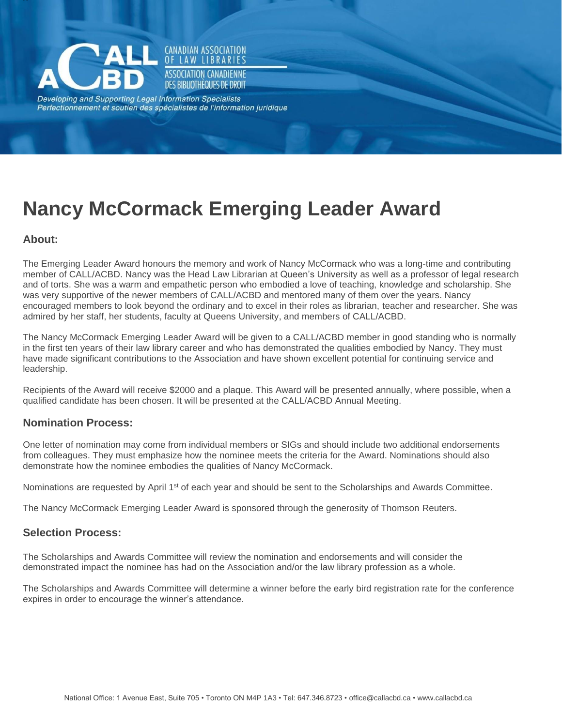

Developing and Supporting Legal Information Specialists Perfectionnement et soutien des spécialistes de l'information juridique

**CANADIAN ASSOCIATION** LAW LIBRARIES **ASSOCIATION CANADIENNE** DES BIBLIOTHÈQUES DE DROIT

# **Nancy McCormack Emerging Leader Award**

# **About:**

The Emerging Leader Award honours the memory and work of Nancy McCormack who was a long-time and contributing member of CALL/ACBD. Nancy was the Head Law Librarian at Queen's University as well as a professor of legal research and of torts. She was a warm and empathetic person who embodied a love of teaching, knowledge and scholarship. She was very supportive of the newer members of CALL/ACBD and mentored many of them over the years. Nancy encouraged members to look beyond the ordinary and to excel in their roles as librarian, teacher and researcher. She was admired by her staff, her students, faculty at Queens University, and members of CALL/ACBD.

The Nancy McCormack Emerging Leader Award will be given to a CALL/ACBD member in good standing who is normally in the first ten years of their law library career and who has demonstrated the qualities embodied by Nancy. They must have made significant contributions to the Association and have shown excellent potential for continuing service and leadership.

Recipients of the Award will receive \$2000 and a plaque. This Award will be presented annually, where possible, when a qualified candidate has been chosen. It will be presented at the CALL/ACBD Annual Meeting.

## **Nomination Process:**

One letter of nomination may come from individual members or SIGs and should include two additional endorsements from colleagues. They must emphasize how the nominee meets the criteria for the Award. Nominations should also demonstrate how the nominee embodies the qualities of Nancy McCormack.

Nominations are requested by April 1<sup>st</sup> of each year and should be sent to the Scholarships and Awards Committee.

The Nancy McCormack Emerging Leader Award is sponsored through the generosity of Thomson Reuters.

## **Selection Process:**

The Scholarships and Awards Committee will review the nomination and endorsements and will consider the demonstrated impact the nominee has had on the Association and/or the law library profession as a whole.

The Scholarships and Awards Committee will determine a winner before the early bird registration rate for the conference expires in order to encourage the winner's attendance.